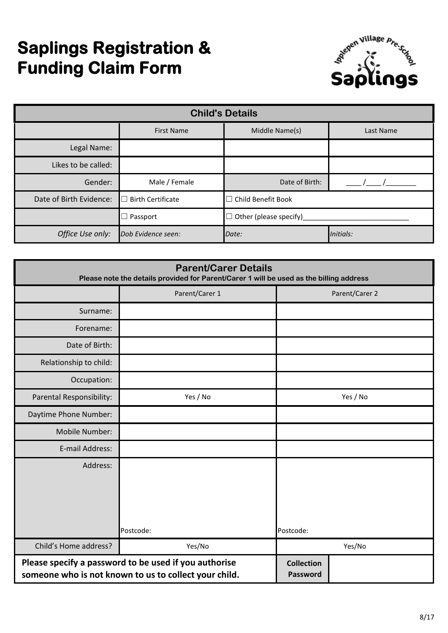# **Saplings Registration & Funding Claim Form**



| <b>Child's Details</b>  |                               |                                  |  |  |  |  |  |
|-------------------------|-------------------------------|----------------------------------|--|--|--|--|--|
|                         | <b>First Name</b>             | Middle Name(s)<br>Last Name      |  |  |  |  |  |
| Legal Name:             |                               |                                  |  |  |  |  |  |
| Likes to be called:     |                               |                                  |  |  |  |  |  |
| Gender:                 | Male / Female                 | Date of Birth:                   |  |  |  |  |  |
| Date of Birth Evidence: | <b>Birth Certificate</b><br>П | Child Benefit Book               |  |  |  |  |  |
|                         | Passport                      | Other (please specify)<br>$\Box$ |  |  |  |  |  |
| Office Use only:        | Dob Evidence seen:            | Initials:<br>Date:               |  |  |  |  |  |

| <b>Parent/Carer Details</b><br>Please note the details provided for Parent/Carer 1 will be used as the billing address |                                                                                                                |                               |                |  |  |
|------------------------------------------------------------------------------------------------------------------------|----------------------------------------------------------------------------------------------------------------|-------------------------------|----------------|--|--|
|                                                                                                                        | Parent/Carer 1                                                                                                 |                               | Parent/Carer 2 |  |  |
| Surname:                                                                                                               |                                                                                                                |                               |                |  |  |
| Forename:                                                                                                              |                                                                                                                |                               |                |  |  |
| Date of Birth:                                                                                                         |                                                                                                                |                               |                |  |  |
| Relationship to child:                                                                                                 |                                                                                                                |                               |                |  |  |
| Occupation:                                                                                                            |                                                                                                                |                               |                |  |  |
| Parental Responsibility:                                                                                               | Yes / No                                                                                                       | Yes / No                      |                |  |  |
| Daytime Phone Number:                                                                                                  |                                                                                                                |                               |                |  |  |
| Mobile Number:                                                                                                         |                                                                                                                |                               |                |  |  |
| E-mail Address:                                                                                                        |                                                                                                                |                               |                |  |  |
| Address:                                                                                                               |                                                                                                                |                               |                |  |  |
|                                                                                                                        | Postcode:                                                                                                      | Postcode:                     |                |  |  |
| Child's Home address?                                                                                                  | Yes/No                                                                                                         |                               | Yes/No         |  |  |
|                                                                                                                        | Please specify a password to be used if you authorise<br>someone who is not known to us to collect your child. | <b>Collection</b><br>Password |                |  |  |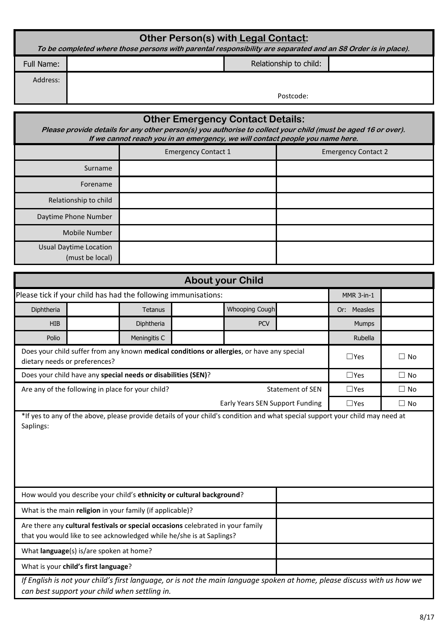| <b>Other Person(s) with Legal Contact:</b><br>To be completed where those persons with parental responsibility are separated and an S8 Order is in place). |  |                        |  |  |  |
|------------------------------------------------------------------------------------------------------------------------------------------------------------|--|------------------------|--|--|--|
| Full Name:                                                                                                                                                 |  | Relationship to child: |  |  |  |
| Address:                                                                                                                                                   |  | Postcode:              |  |  |  |

| <b>Other Emergency Contact Details:</b><br>Please provide details for any other person(s) you authorise to collect your child (must be aged 16 or over).<br>If we cannot reach you in an emergency, we will contact people you name here. |                            |                            |  |  |  |  |  |
|-------------------------------------------------------------------------------------------------------------------------------------------------------------------------------------------------------------------------------------------|----------------------------|----------------------------|--|--|--|--|--|
|                                                                                                                                                                                                                                           | <b>Emergency Contact 1</b> | <b>Emergency Contact 2</b> |  |  |  |  |  |
| Surname                                                                                                                                                                                                                                   |                            |                            |  |  |  |  |  |
| Forename                                                                                                                                                                                                                                  |                            |                            |  |  |  |  |  |
| Relationship to child                                                                                                                                                                                                                     |                            |                            |  |  |  |  |  |
| Daytime Phone Number                                                                                                                                                                                                                      |                            |                            |  |  |  |  |  |
| <b>Mobile Number</b>                                                                                                                                                                                                                      |                            |                            |  |  |  |  |  |
| <b>Usual Daytime Location</b><br>(must be local)                                                                                                                                                                                          |                            |                            |  |  |  |  |  |

| <b>About your Child</b>                 |                                                                                                                                                                           |                                                                       |  |                                                                                            |                         |                   |           |
|-----------------------------------------|---------------------------------------------------------------------------------------------------------------------------------------------------------------------------|-----------------------------------------------------------------------|--|--------------------------------------------------------------------------------------------|-------------------------|-------------------|-----------|
|                                         |                                                                                                                                                                           | Please tick if your child has had the following immunisations:        |  |                                                                                            |                         | <b>MMR 3-in-1</b> |           |
| Diphtheria                              |                                                                                                                                                                           | Tetanus                                                               |  | Whooping Cough                                                                             |                         | Measles<br>Or:    |           |
| <b>HIB</b>                              |                                                                                                                                                                           | Diphtheria                                                            |  | <b>PCV</b>                                                                                 |                         | Mumps             |           |
| Polio                                   |                                                                                                                                                                           | Meningitis C                                                          |  |                                                                                            |                         | Rubella           |           |
|                                         | dietary needs or preferences?                                                                                                                                             |                                                                       |  | Does your child suffer from any known medical conditions or allergies, or have any special |                         | $\Box$ Yes        | $\Box$ No |
|                                         |                                                                                                                                                                           | Does your child have any special needs or disabilities (SEN)?         |  |                                                                                            |                         | $\Box$ Yes        | $\Box$ No |
|                                         | Are any of the following in place for your child?                                                                                                                         |                                                                       |  |                                                                                            | <b>Statement of SEN</b> | $\Box$ Yes        | $\Box$ No |
|                                         |                                                                                                                                                                           |                                                                       |  | Early Years SEN Support Funding                                                            |                         | $\Box$ Yes        | $\Box$ No |
|                                         |                                                                                                                                                                           |                                                                       |  |                                                                                            |                         |                   |           |
|                                         |                                                                                                                                                                           | How would you describe your child's ethnicity or cultural background? |  |                                                                                            |                         |                   |           |
|                                         |                                                                                                                                                                           | What is the main religion in your family (if applicable)?             |  |                                                                                            |                         |                   |           |
|                                         | Are there any cultural festivals or special occasions celebrated in your family<br>that you would like to see acknowledged while he/she is at Saplings?                   |                                                                       |  |                                                                                            |                         |                   |           |
| What language(s) is/are spoken at home? |                                                                                                                                                                           |                                                                       |  |                                                                                            |                         |                   |           |
|                                         | What is your child's first language?                                                                                                                                      |                                                                       |  |                                                                                            |                         |                   |           |
|                                         | If English is not your child's first language, or is not the main language spoken at home, please discuss with us how we<br>can best support your child when settling in. |                                                                       |  |                                                                                            |                         |                   |           |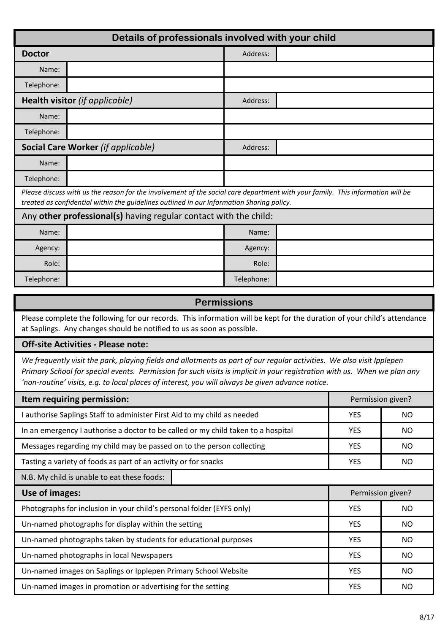| Details of professionals involved with your child |                                                                                                                                                                                                                             |            |  |  |  |  |
|---------------------------------------------------|-----------------------------------------------------------------------------------------------------------------------------------------------------------------------------------------------------------------------------|------------|--|--|--|--|
| <b>Doctor</b>                                     |                                                                                                                                                                                                                             | Address:   |  |  |  |  |
| Name:                                             |                                                                                                                                                                                                                             |            |  |  |  |  |
| Telephone:                                        |                                                                                                                                                                                                                             |            |  |  |  |  |
|                                                   | Health visitor (if applicable)                                                                                                                                                                                              | Address:   |  |  |  |  |
| Name:                                             |                                                                                                                                                                                                                             |            |  |  |  |  |
| Telephone:                                        |                                                                                                                                                                                                                             |            |  |  |  |  |
| <b>Social Care Worker (if applicable)</b>         |                                                                                                                                                                                                                             | Address:   |  |  |  |  |
| Name:                                             |                                                                                                                                                                                                                             |            |  |  |  |  |
| Telephone:                                        |                                                                                                                                                                                                                             |            |  |  |  |  |
|                                                   | Please discuss with us the reason for the involvement of the social care department with your family. This information will be<br>treated as confidential within the guidelines outlined in our Information Sharing policy. |            |  |  |  |  |
|                                                   | Any other professional(s) having regular contact with the child:                                                                                                                                                            |            |  |  |  |  |
| Name:                                             |                                                                                                                                                                                                                             | Name:      |  |  |  |  |
| Agency:                                           |                                                                                                                                                                                                                             | Agency:    |  |  |  |  |
| Role:                                             |                                                                                                                                                                                                                             | Role:      |  |  |  |  |
| Telephone:                                        |                                                                                                                                                                                                                             | Telephone: |  |  |  |  |

| <b>Permissions</b>                                                                                                                                                                                                                                                                                                                                    |            |                   |  |  |  |  |
|-------------------------------------------------------------------------------------------------------------------------------------------------------------------------------------------------------------------------------------------------------------------------------------------------------------------------------------------------------|------------|-------------------|--|--|--|--|
| Please complete the following for our records. This information will be kept for the duration of your child's attendance<br>at Saplings. Any changes should be notified to us as soon as possible.                                                                                                                                                    |            |                   |  |  |  |  |
| <b>Off-site Activities - Please note:</b>                                                                                                                                                                                                                                                                                                             |            |                   |  |  |  |  |
| We frequently visit the park, playing fields and allotments as part of our regular activities. We also visit Ipplepen<br>Primary School for special events. Permission for such visits is implicit in your registration with us. When we plan any<br>'non-routine' visits, e.g. to local places of interest, you will always be given advance notice. |            |                   |  |  |  |  |
| Item requiring permission:                                                                                                                                                                                                                                                                                                                            |            | Permission given? |  |  |  |  |
| I authorise Saplings Staff to administer First Aid to my child as needed                                                                                                                                                                                                                                                                              | <b>YES</b> | <b>NO</b>         |  |  |  |  |
| In an emergency I authorise a doctor to be called or my child taken to a hospital                                                                                                                                                                                                                                                                     | <b>YES</b> | <b>NO</b>         |  |  |  |  |
| Messages regarding my child may be passed on to the person collecting                                                                                                                                                                                                                                                                                 | <b>YES</b> | <b>NO</b>         |  |  |  |  |
| Tasting a variety of foods as part of an activity or for snacks                                                                                                                                                                                                                                                                                       | <b>YES</b> | <b>NO</b>         |  |  |  |  |
| N.B. My child is unable to eat these foods:                                                                                                                                                                                                                                                                                                           |            |                   |  |  |  |  |
| Use of images:                                                                                                                                                                                                                                                                                                                                        |            | Permission given? |  |  |  |  |
| Photographs for inclusion in your child's personal folder (EYFS only)                                                                                                                                                                                                                                                                                 | <b>YES</b> | <b>NO</b>         |  |  |  |  |
| Un-named photographs for display within the setting                                                                                                                                                                                                                                                                                                   | <b>YES</b> | <b>NO</b>         |  |  |  |  |
| Un-named photographs taken by students for educational purposes                                                                                                                                                                                                                                                                                       | <b>YES</b> | <b>NO</b>         |  |  |  |  |
| Un-named photographs in local Newspapers                                                                                                                                                                                                                                                                                                              | <b>YES</b> | <b>NO</b>         |  |  |  |  |
| Un-named images on Saplings or Ipplepen Primary School Website                                                                                                                                                                                                                                                                                        | <b>YES</b> | <b>NO</b>         |  |  |  |  |

Un-named images in promotion or advertising for the setting

YES NO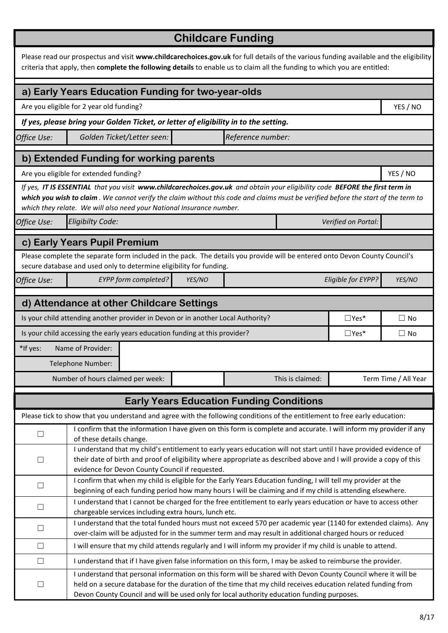|             |                                                                                                                                                                                                                                                                                                                                           |  |        | <b>Childcare Funding</b>                        |                  |                     |                      |
|-------------|-------------------------------------------------------------------------------------------------------------------------------------------------------------------------------------------------------------------------------------------------------------------------------------------------------------------------------------------|--|--------|-------------------------------------------------|------------------|---------------------|----------------------|
|             | Please read our prospectus and visit www.childcarechoices.gov.uk for full details of the various funding available and the eligibility<br>criteria that apply, then complete the following details to enable us to claim all the funding to which you are entitled:                                                                       |  |        |                                                 |                  |                     |                      |
|             | a) Early Years Education Funding for two-year-olds                                                                                                                                                                                                                                                                                        |  |        |                                                 |                  |                     |                      |
|             | Are you eligible for 2 year old funding?                                                                                                                                                                                                                                                                                                  |  |        |                                                 |                  |                     | YES / NO             |
|             | If yes, please bring your Golden Ticket, or letter of eligibility in to the setting.                                                                                                                                                                                                                                                      |  |        |                                                 |                  |                     |                      |
| Office Use: | Golden Ticket/Letter seen:                                                                                                                                                                                                                                                                                                                |  |        | Reference number:                               |                  |                     |                      |
|             | b) Extended Funding for working parents                                                                                                                                                                                                                                                                                                   |  |        |                                                 |                  |                     |                      |
|             | Are you eligible for extended funding?                                                                                                                                                                                                                                                                                                    |  |        |                                                 |                  |                     | YES / NO             |
|             | If yes, IT IS ESSENTIAL that you visit www.childcarechoices.gov.uk and obtain your eligibility code BEFORE the first term in<br>which you wish to claim. We cannot verify the claim without this code and claims must be verified before the start of the term to<br>which they relate. We will also need your National Insurance number. |  |        |                                                 |                  |                     |                      |
| Office Use: | <b>Eligibilty Code:</b>                                                                                                                                                                                                                                                                                                                   |  |        |                                                 |                  | Verified on Portal: |                      |
|             | c) Early Years Pupil Premium                                                                                                                                                                                                                                                                                                              |  |        |                                                 |                  |                     |                      |
|             | Please complete the separate form included in the pack. The details you provide will be entered onto Devon County Council's                                                                                                                                                                                                               |  |        |                                                 |                  |                     |                      |
|             | secure database and used only to determine eligibility for funding.                                                                                                                                                                                                                                                                       |  |        |                                                 |                  |                     |                      |
| Office Use: | <b>EYPP</b> form completed?                                                                                                                                                                                                                                                                                                               |  | YES/NO |                                                 |                  | Eligible for EYPP?  | YES/NO               |
|             | d) Attendance at other Childcare Settings                                                                                                                                                                                                                                                                                                 |  |        |                                                 |                  |                     |                      |
|             | Is your child attending another provider in Devon or in another Local Authority?                                                                                                                                                                                                                                                          |  |        |                                                 |                  | $\Box$ Yes*         | $\Box$ No            |
|             | Is your child accessing the early years education funding at this provider?                                                                                                                                                                                                                                                               |  |        |                                                 |                  | $\Box$ Yes*         | $\Box$ No            |
| *If yes:    | Name of Provider:                                                                                                                                                                                                                                                                                                                         |  |        |                                                 |                  |                     |                      |
|             | Telephone Number:                                                                                                                                                                                                                                                                                                                         |  |        |                                                 |                  |                     |                      |
|             | Number of hours claimed per week:                                                                                                                                                                                                                                                                                                         |  |        |                                                 | This is claimed: |                     | Term Time / All Year |
|             |                                                                                                                                                                                                                                                                                                                                           |  |        |                                                 |                  |                     |                      |
|             |                                                                                                                                                                                                                                                                                                                                           |  |        | <b>Early Years Education Funding Conditions</b> |                  |                     |                      |
|             | Please tick to show that you understand and agree with the following conditions of the entitlement to free early education:                                                                                                                                                                                                               |  |        |                                                 |                  |                     |                      |
| $\Box$      | I confirm that the information I have given on this form is complete and accurate. I will inform my provider if any<br>of these details change.                                                                                                                                                                                           |  |        |                                                 |                  |                     |                      |
|             | I understand that my child's entitlement to early years education will not start until I have provided evidence of                                                                                                                                                                                                                        |  |        |                                                 |                  |                     |                      |
| $\Box$      | their date of birth and proof of eligibility where appropriate as described above and I will provide a copy of this                                                                                                                                                                                                                       |  |        |                                                 |                  |                     |                      |
|             | evidence for Devon County Council if requested.                                                                                                                                                                                                                                                                                           |  |        |                                                 |                  |                     |                      |
| $\Box$      | I confirm that when my child is eligible for the Early Years Education funding, I will tell my provider at the<br>beginning of each funding period how many hours I will be claiming and if my child is attending elsewhere.                                                                                                              |  |        |                                                 |                  |                     |                      |
| $\Box$      | I understand that I cannot be charged for the free entitlement to early years education or have to access other                                                                                                                                                                                                                           |  |        |                                                 |                  |                     |                      |
|             | chargeable services including extra hours, lunch etc.                                                                                                                                                                                                                                                                                     |  |        |                                                 |                  |                     |                      |
| $\Box$      | I understand that the total funded hours must not exceed 570 per academic year (1140 for extended claims). Any<br>over-claim will be adjusted for in the summer term and may result in additional charged hours or reduced                                                                                                                |  |        |                                                 |                  |                     |                      |
| $\Box$      | I will ensure that my child attends regularly and I will inform my provider if my child is unable to attend.                                                                                                                                                                                                                              |  |        |                                                 |                  |                     |                      |
| $\Box$      | I understand that if I have given false information on this form, I may be asked to reimburse the provider.                                                                                                                                                                                                                               |  |        |                                                 |                  |                     |                      |
|             | I understand that personal information on this form will be shared with Devon County Council where it will be                                                                                                                                                                                                                             |  |        |                                                 |                  |                     |                      |
| $\Box$      | held on a secure database for the duration of the time that my child receives education related funding from<br>Devon County Council and will be used only for local authority education funding purposes.                                                                                                                                |  |        |                                                 |                  |                     |                      |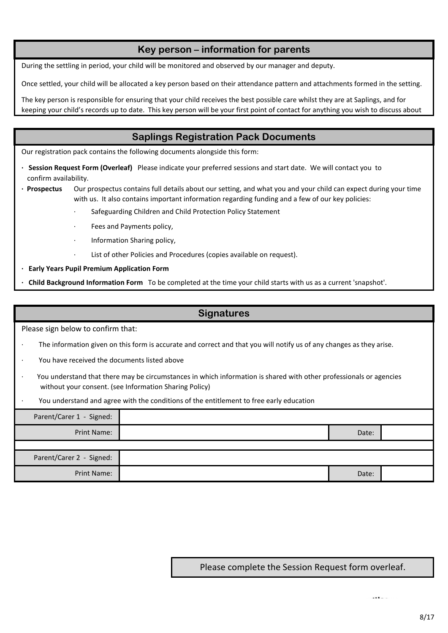## **Key person – information for parents**

During the settling in period, your child will be monitored and observed by our manager and deputy.

Once settled, your child will be allocated a key person based on their attendance pattern and attachments formed in the setting.

The key person is responsible for ensuring that your child receives the best possible care whilst they are at Saplings, and for keeping your child's records up to date. This key person will be your first point of contact for anything you wish to discuss about

### **Saplings Registration Pack Documents**

Our registration pack contains the following documents alongside this form:

- confirm availability. **· Session Request Form (Overleaf)** Please indicate your preferred sessions and start date. We will contact you to
- **· Prospectus**  Our prospectus contains full details about our setting, and what you and your child can expect during your time with us. It also contains important information regarding funding and a few of our key policies:
	- Safeguarding Children and Child Protection Policy Statement
	- Fees and Payments policy,
	- · Information Sharing policy,
	- List of other Policies and Procedures (copies available on request).

**· Early Years Pupil Premium Application Form**

**· Child Background Information Form** To be completed at the time your child starts with us as a current 'snapshot'.

#### **Signatures**

Please sign below to confirm that:

- The information given on this form is accurate and correct and that you will notify us of any changes as they arise.
- · You have received the documents listed above
- · You understand that there may be circumstances in which information is shared with other professionals or agencies without your consent. (see Information Sharing Policy)
- · You understand and agree with the conditions of the entitlement to free early education

| Parent/Carer 1 - Signed: |       |  |
|--------------------------|-------|--|
| Print Name:              | Date: |  |
|                          |       |  |
| Parent/Carer 2 - Signed: |       |  |
| Print Name:              | Date: |  |

#### Please complete the Session Request form overleaf.